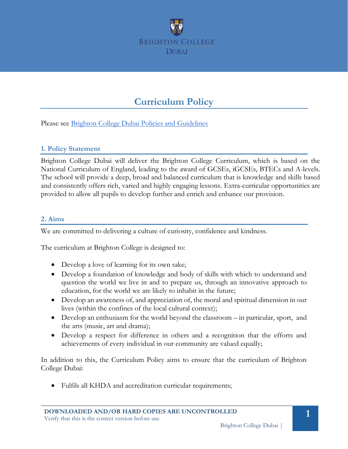

# **Curriculum Policy**

Please see **Brighton College Dubai Policies and Guidelines** 

#### **1. Policy Statement**

Brighton College Dubai will deliver the Brighton College Curriculum, which is based on the National Curriculum of England, leading to the award of GCSEs, iGCSEs, BTECs and A-levels. The school will provide a deep, broad and balanced curriculum that is knowledge and skills based and consistently offers rich, varied and highly engaging lessons. Extra-curricular opportunities are provided to allow all pupils to develop further and enrich and enhance our provision.

#### **2. Aims**

We are committed to delivering a culture of curiosity, confidence and kindness.

The curriculum at Brighton College is designed to:

- Develop a love of learning for its own sake;
- Develop a foundation of knowledge and body of skills with which to understand and question the world we live in and to prepare us, through an innovative approach to education, for the world we are likely to inhabit in the future;
- Develop an awareness of, and appreciation of, the moral and spiritual dimension in our lives (within the confines of the local cultural context);
- Develop an enthusiasm for the world beyond the classroom in particular, sport, and the arts (music, art and drama);
- Develop a respect for difference in others and a recognition that the efforts and achievements of every individual in our community are valued equally;

In addition to this, the Curriculum Policy aims to ensure that the curriculum of Brighton College Dubai:

• Fulfils all KHDA and accreditation curricular requirements;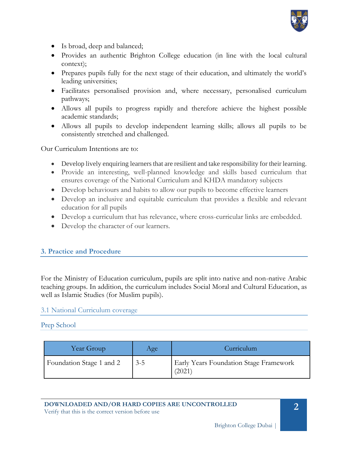

- Is broad, deep and balanced;
- Provides an authentic Brighton College education (in line with the local cultural context);
- Prepares pupils fully for the next stage of their education, and ultimately the world's leading universities;
- Facilitates personalised provision and, where necessary, personalised curriculum pathways;
- Allows all pupils to progress rapidly and therefore achieve the highest possible academic standards;
- Allows all pupils to develop independent learning skills; allows all pupils to be consistently stretched and challenged.

Our Curriculum Intentions are to:

- Develop lively enquiring learners that are resilient and take responsibility for their learning.
- Provide an interesting, well-planned knowledge and skills based curriculum that ensures coverage of the National Curriculum and KHDA mandatory subjects
- Develop behaviours and habits to allow our pupils to become effective learners
- Develop an inclusive and equitable curriculum that provides a flexible and relevant education for all pupils
- Develop a curriculum that has relevance, where cross-curricular links are embedded.
- Develop the character of our learners.

# **3. Practice and Procedure**

For the Ministry of Education curriculum, pupils are split into native and non-native Arabic teaching groups. In addition, the curriculum includes Social Moral and Cultural Education, as well as Islamic Studies (for Muslim pupils).

## 3.1 National Curriculum coverage

#### Prep School

| Year Group               | Age     | Curriculum                                       |
|--------------------------|---------|--------------------------------------------------|
| Foundation Stage 1 and 2 | $3 - 5$ | Early Years Foundation Stage Framework<br>(2021) |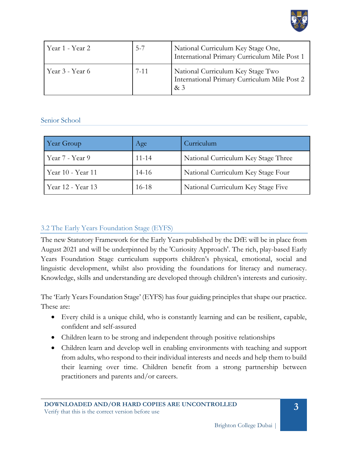

| Year 1 - Year 2 | $5 - 7$  | National Curriculum Key Stage One,<br>International Primary Curriculum Mile Post 1      |
|-----------------|----------|-----------------------------------------------------------------------------------------|
| Year 3 - Year 6 | $7 - 11$ | National Curriculum Key Stage Two<br>International Primary Curriculum Mile Post 2<br>&3 |

## Senior School

| Year Group        | Age       | Curriculum                          |
|-------------------|-----------|-------------------------------------|
| Year 7 - Year 9   | $11 - 14$ | National Curriculum Key Stage Three |
| Year 10 - Year 11 | $14-16$   | National Curriculum Key Stage Four  |
| Year 12 - Year 13 | $16 - 18$ | National Curriculum Key Stage Five  |

## 3.2 The Early Years Foundation Stage (EYFS)

The new Statutory Framework for the Early Years published by the DfE will be in place from August 2021 and will be underpinned by the 'Curiosity Approach'. The rich, play-based Early Years Foundation Stage curriculum supports children's physical, emotional, social and linguistic development, whilst also providing the foundations for literacy and numeracy. Knowledge, skills and understanding are developed through children's interests and curiosity.

The 'Early Years Foundation Stage' (EYFS) has four guiding principles that shape our practice. These are:

- Every child is a unique child, who is constantly learning and can be resilient, capable, confident and self-assured
- Children learn to be strong and independent through positive relationships
- Children learn and develop well in enabling environments with teaching and support from adults, who respond to their individual interests and needs and help them to build their learning over time. Children benefit from a strong partnership between practitioners and parents and/or careers.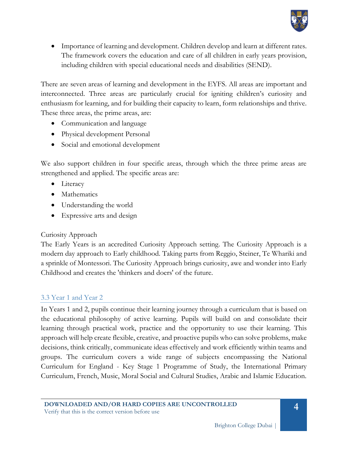

• Importance of learning and development. Children develop and learn at different rates. The framework covers the education and care of all children in early years provision, including children with special educational needs and disabilities (SEND).

There are seven areas of learning and development in the EYFS. All areas are important and interconnected. Three areas are particularly crucial for igniting children's curiosity and enthusiasm for learning, and for building their capacity to learn, form relationships and thrive. These three areas, the prime areas, are:

- Communication and language
- Physical development Personal
- Social and emotional development

We also support children in four specific areas, through which the three prime areas are strengthened and applied. The specific areas are:

- Literacy
- Mathematics
- Understanding the world
- Expressive arts and design

## Curiosity Approach

The Early Years is an accredited Curiosity Approach setting. The Curiosity Approach is a modern day approach to Early childhood. Taking parts from Reggio, Steiner, Te Whariki and a sprinkle of Montessori. The Curiosity Approach brings curiosity, awe and wonder into Early Childhood and creates the 'thinkers and doers' of the future.

## 3.3 Year 1 and Year 2

In Years 1 and 2, pupils continue their learning journey through a curriculum that is based on the educational philosophy of active learning. Pupils will build on and consolidate their learning through practical work, practice and the opportunity to use their learning. This approach will help create flexible, creative, and proactive pupils who can solve problems, make decisions, think critically, communicate ideas effectively and work efficiently within teams and groups. The curriculum covers a wide range of subjects encompassing the National Curriculum for England - Key Stage 1 Programme of Study, the International Primary Curriculum, French, Music, Moral Social and Cultural Studies, Arabic and Islamic Education.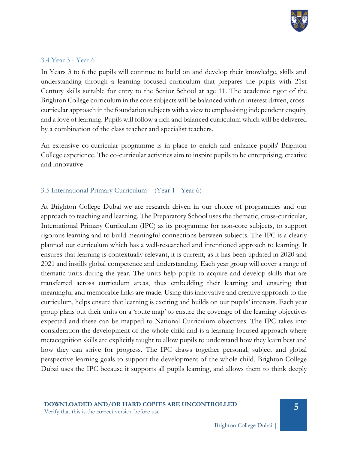

## 3.4 Year 3 - Year 6

In Years 3 to 6 the pupils will continue to build on and develop their knowledge, skills and understanding through a learning focused curriculum that prepares the pupils with 21st Century skills suitable for entry to the Senior School at age 11. The academic rigor of the Brighton College curriculum in the core subjects will be balanced with an interest driven, crosscurricular approach in the foundation subjects with a view to emphasising independent enquiry and a love of learning. Pupils will follow a rich and balanced curriculum which will be delivered by a combination of the class teacher and specialist teachers.

An extensive co-curricular programme is in place to enrich and enhance pupils' Brighton College experience. The co-curricular activities aim to inspire pupils to be enterprising, creative and innovative

# 3.5 International Primary Curriculum – (Year 1– Year 6)

At Brighton College Dubai we are research driven in our choice of programmes and our approach to teaching and learning. The Preparatory School uses the thematic, cross-curricular, International Primary Curriculum (IPC) as its programme for non-core subjects, to support rigorous learning and to build meaningful connections between subjects. The IPC is a clearly planned out curriculum which has a well-researched and intentioned approach to learning. It ensures that learning is contextually relevant, it is current, as it has been updated in 2020 and 2021 and instills global competence and understanding. Each year group will cover a range of thematic units during the year. The units help pupils to acquire and develop skills that are transferred across curriculum areas, thus embedding their learning and ensuring that meaningful and memorable links are made. Using this innovative and creative approach to the curriculum, helps ensure that learning is exciting and builds on our pupils' interests. Each year group plans out their units on a 'route map' to ensure the coverage of the learning objectives expected and these can be mapped to National Curriculum objectives. The IPC takes into consideration the development of the whole child and is a learning focused approach where metacognition skills are explicitly taught to allow pupils to understand how they learn best and how they can strive for progress. The IPC draws together personal, subject and global perspective learning goals to support the development of the whole child. Brighton College Dubai uses the IPC because it supports all pupils learning, and allows them to think deeply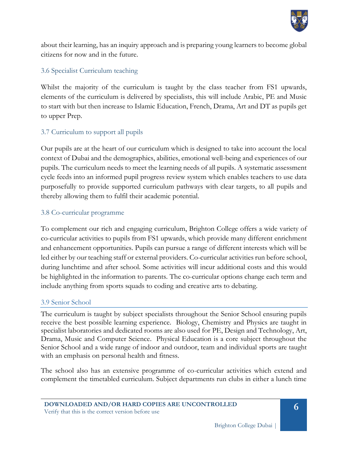

about their learning, has an inquiry approach and is preparing young learners to become global citizens for now and in the future.

# 3.6 Specialist Curriculum teaching

Whilst the majority of the curriculum is taught by the class teacher from FS1 upwards, elements of the curriculum is delivered by specialists, this will include Arabic, PE and Music to start with but then increase to Islamic Education, French, Drama, Art and DT as pupils get to upper Prep.

# 3.7 Curriculum to support all pupils

Our pupils are at the heart of our curriculum which is designed to take into account the local context of Dubai and the demographics, abilities, emotional well-being and experiences of our pupils. The curriculum needs to meet the learning needs of all pupils. A systematic assessment cycle feeds into an informed pupil progress review system which enables teachers to use data purposefully to provide supported curriculum pathways with clear targets, to all pupils and thereby allowing them to fulfil their academic potential.

# 3.8 Co-curricular programme

To complement our rich and engaging curriculum, Brighton College offers a wide variety of co-curricular activities to pupils from FS1 upwards, which provide many different enrichment and enhancement opportunities. Pupils can pursue a range of different interests which will be led either by our teaching staff or external providers. Co-curricular activities run before school, during lunchtime and after school. Some activities will incur additional costs and this would be highlighted in the information to parents. The co-curricular options change each term and include anything from sports squads to coding and creative arts to debating.

## 3.9 Senior School

The curriculum is taught by subject specialists throughout the Senior School ensuring pupils receive the best possible learning experience. Biology, Chemistry and Physics are taught in specialist laboratories and dedicated rooms are also used for PE, Design and Technology, Art, Drama, Music and Computer Science. Physical Education is a core subject throughout the Senior School and a wide range of indoor and outdoor, team and individual sports are taught with an emphasis on personal health and fitness.

The school also has an extensive programme of co-curricular activities which extend and complement the timetabled curriculum. Subject departments run clubs in either a lunch time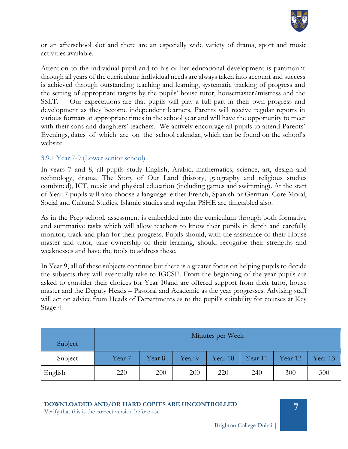

or an afterschool slot and there are an especially wide variety of drama, sport and music activities available.

Attention to the individual pupil and to his or her educational development is paramount through all years of the curriculum: individual needs are always taken into account and success is achieved through outstanding teaching and learning, systematic tracking of progress and the setting of appropriate targets by the pupils' house tutor, housemaster/mistress and the SSLT. Our expectations are that pupils will play a full part in their own progress and development as they become independent learners. Parents will receive regular reports in various formats at appropriate times in the school year and will have the opportunity to meet with their sons and daughters' teachers. We actively encourage all pupils to attend Parents' Evenings, dates of which are on the school calendar, which can be found on the school's website.

## 3.9.1 Year 7-9 (Lower senior school)

In years 7 and 8, all pupils study English, Arabic, mathematics, science, art, design and technology, drama, The Story of Our Land (history, geography and religious studies combined), ICT, music and physical education (including games and swimming). At the start of Year 7 pupils will also choose a language: either French, Spanish or German. Core Moral, Social and Cultural Studies, Islamic studies and regular PSHE are timetabled also.

As in the Prep school, assessment is embedded into the curriculum through both formative and summative tasks which will allow teachers to know their pupils in depth and carefully monitor, track and plan for their progress. Pupils should, with the assistance of their House master and tutor, take ownership of their learning, should recognise their strengths and weaknesses and have the tools to address these.

In Year 9, all of these subjects continue but there is a greater focus on helping pupils to decide the subjects they will eventually take to IGCSE. From the beginning of the year pupils are asked to consider their choices for Year 10and are offered support from their tutor, house master and the Deputy Heads – Pastoral and Academic as the year progresses. Advising staff will act on advice from Heads of Departments as to the pupil's suitability for courses at Key Stage 4.

| Subject | Minutes per Week  |        |        |         |         |         |         |
|---------|-------------------|--------|--------|---------|---------|---------|---------|
| Subject | Year <sub>7</sub> | Year 8 | Year 9 | Year 10 | Year 11 | Year 12 | Year 13 |
| English | 220               | 200    | 200    | 220     | 240     | 300     | 300     |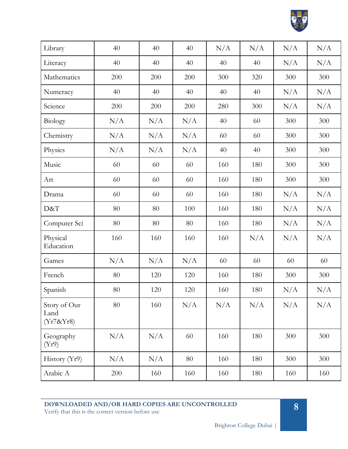

| Library                           | 40     | 40  | 40  | N/A | N/A | N/A | N/A |
|-----------------------------------|--------|-----|-----|-----|-----|-----|-----|
| Literacy                          | 40     | 40  | 40  | 40  | 40  | N/A | N/A |
| Mathematics                       | 200    | 200 | 200 | 300 | 320 | 300 | 300 |
| Numeracy                          | 40     | 40  | 40  | 40  | 40  | N/A | N/A |
| Science                           | 200    | 200 | 200 | 280 | 300 | N/A | N/A |
| Biology                           | N/A    | N/A | N/A | 40  | 60  | 300 | 300 |
| Chemistry                         | N/A    | N/A | N/A | 60  | 60  | 300 | 300 |
| Physics                           | N/A    | N/A | N/A | 40  | 40  | 300 | 300 |
| Music                             | 60     | 60  | 60  | 160 | 180 | 300 | 300 |
| Art                               | 60     | 60  | 60  | 160 | 180 | 300 | 300 |
| Drama                             | 60     | 60  | 60  | 160 | 180 | N/A | N/A |
| D&T                               | 80     | 80  | 100 | 160 | 180 | N/A | N/A |
| Computer Sci                      | 80     | 80  | 80  | 160 | 180 | N/A | N/A |
| Physical<br>Education             | 160    | 160 | 160 | 160 | N/A | N/A | N/A |
| Games                             | N/A    | N/A | N/A | 60  | 60  | 60  | 60  |
| French                            | 80     | 120 | 120 | 160 | 180 | 300 | 300 |
| Spanish                           | $80\,$ | 120 | 120 | 160 | 180 | N/A | N/A |
| Story of Our<br>Land<br>(Yr7&Yr8) | 80     | 160 | N/A | N/A | N/A | N/A | N/A |
| Geography<br>(Yr9)                | N/A    | N/A | 60  | 160 | 180 | 300 | 300 |
| History $(Yr9)$                   | N/A    | N/A | 80  | 160 | 180 | 300 | 300 |
| Arabic A                          | 200    | 160 | 160 | 160 | 180 | 160 | 160 |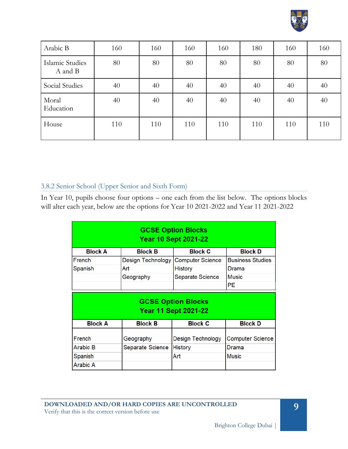

| Arabic B                   | 160 | 160 | 160 | 160 | 180 | 160 | 160 |
|----------------------------|-----|-----|-----|-----|-----|-----|-----|
| Islamic Studies<br>A and B | 80  | 80  | 80  | 80  | 80  | 80  | 80  |
| Social Studies             | 40  | 40  | 40  | 40  | 40  | 40  | 40  |
| Moral<br>Education         | 40  | 40  | 40  | 40  | 40  | 40  | 40  |
| House                      | 110 | 110 | 110 | 110 | 110 | 110 | 110 |

## 3.8.2 Senior School (Upper Senior and Sixth Form)

In Year 10, pupils choose four options – one each from the list below. The options blocks will alter each year, below are the options for Year 10 2021-2022 and Year 11 2021-2022

| <b>GCSE Option Blocks</b><br><b>Year 10 Sept 2021-22</b> |                   |                                                          |                         |  |  |
|----------------------------------------------------------|-------------------|----------------------------------------------------------|-------------------------|--|--|
| <b>Block A</b>                                           | <b>Block B</b>    | <b>Block C</b>                                           | <b>Block D</b>          |  |  |
| French                                                   | Design Technology | <b>Computer Science</b>                                  | <b>Business Studies</b> |  |  |
| Spanish                                                  | Art               | <b>History</b>                                           | Drama                   |  |  |
|                                                          | Geography         | Separate Science                                         | <b>Music</b>            |  |  |
|                                                          |                   |                                                          | PE.                     |  |  |
|                                                          |                   |                                                          |                         |  |  |
|                                                          |                   | <b>GCSE Option Blocks</b><br><b>Year 11 Sept 2021-22</b> |                         |  |  |
| <b>Block A</b>                                           | <b>Block B</b>    | <b>Block C</b>                                           | <b>Block D</b>          |  |  |
| French                                                   | Geography         | Design Technology                                        | <b>Computer Science</b> |  |  |
| Arabic B                                                 | Separate Science  | <b>History</b>                                           | Drama                   |  |  |
| Spanish                                                  |                   | Art                                                      | <b>Music</b>            |  |  |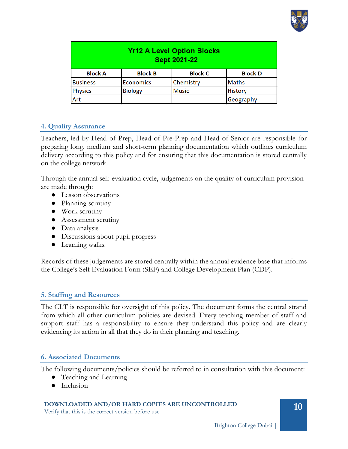

| <b>Yr12 A Level Option Blocks</b><br><b>Sept 2021-22</b> |                  |                |                |  |  |
|----------------------------------------------------------|------------------|----------------|----------------|--|--|
| <b>Block A</b>                                           | <b>Block B</b>   | <b>Block C</b> | <b>Block D</b> |  |  |
| <b>Business</b>                                          | <b>Economics</b> | Chemistry      | <b>Maths</b>   |  |  |
| <b>Physics</b>                                           | <b>Biology</b>   | <b>Music</b>   | <b>History</b> |  |  |
| Art                                                      |                  |                | Geography      |  |  |

## **4. Quality Assurance**

Teachers, led by Head of Prep, Head of Pre-Prep and Head of Senior are responsible for preparing long, medium and short-term planning documentation which outlines curriculum delivery according to this policy and for ensuring that this documentation is stored centrally on the college network.

Through the annual self-evaluation cycle, judgements on the quality of curriculum provision are made through:

- Lesson observations
- Planning scrutiny
- Work scrutiny
- Assessment scrutiny
- Data analysis
- Discussions about pupil progress
- Learning walks.

Records of these judgements are stored centrally within the annual evidence base that informs the College's Self Evaluation Form (SEF) and College Development Plan (CDP).

#### **5. Staffing and Resources**

The CLT is responsible for oversight of this policy. The document forms the central strand from which all other curriculum policies are devised. Every teaching member of staff and support staff has a responsibility to ensure they understand this policy and are clearly evidencing its action in all that they do in their planning and teaching.

#### **6. Associated Documents**

The following documents/policies should be referred to in consultation with this document:

- Teaching and Learning
- Inclusion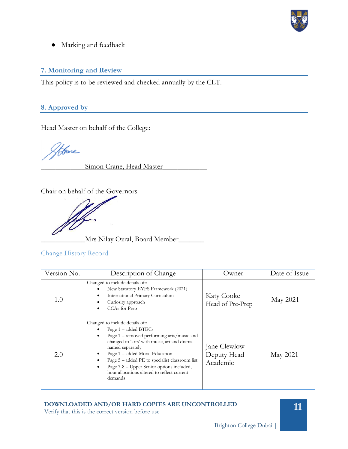

● Marking and feedback

# **7. Monitoring and Review**

This policy is to be reviewed and checked annually by the CLT.

# **8. Approved by**

Head Master on behalf of the College:

Hone

Simon Crane, Head Master

Chair on behalf of the Governors:

\_\_\_\_\_\_\_\_\_\_\_\_Mrs Nilay Ozral, Board Member\_\_\_\_\_\_\_

Change History Record

| Version No. | Description of Change                                                                                                                                                                                                                                                                                                                                                                       | Owner                                   | Date of Issue |
|-------------|---------------------------------------------------------------------------------------------------------------------------------------------------------------------------------------------------------------------------------------------------------------------------------------------------------------------------------------------------------------------------------------------|-----------------------------------------|---------------|
| 1.0         | Changed to include details of::<br>New Statutory EYFS Framework (2021)<br>International Primary Curriculum<br>٠<br>Curiosity approach<br>CCAs for Prep                                                                                                                                                                                                                                      | <b>Katy Cooke</b><br>Head of Pre-Prep   | May 2021      |
| 2.0         | Changed to include details of::<br>Page 1 – added BTECs<br>Page $1$ – removed performing arts/music and<br>٠<br>changed to 'arts' with music, art and drama<br>named separately<br>Page 1 – added Moral Education<br>٠<br>Page $5 -$ added PE to specialist classroom list<br>٠<br>Page 7-8 – Upper Senior options included,<br>٠<br>hour allocations altered to reflect current<br>demands | Jane Clewlow<br>Deputy Head<br>Academic | May 2021      |

**DOWNLOADED AND/OR HARD COPIES ARE UNCONTROLLED** Verify that this is the correct version before use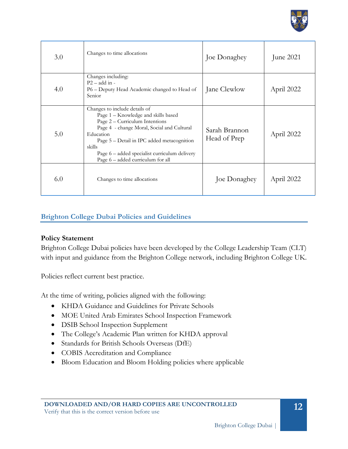

| 3.0 | Changes to time allocations                                                                                                                                                                                                                                                                                     | Joe Donaghey                  | June 2021  |
|-----|-----------------------------------------------------------------------------------------------------------------------------------------------------------------------------------------------------------------------------------------------------------------------------------------------------------------|-------------------------------|------------|
| 4.0 | Changes including:<br>$P2 - add in -$<br>P6 – Deputy Head Academic changed to Head of<br>Senior                                                                                                                                                                                                                 | Jane Clewlow                  | April 2022 |
| 5.0 | Changes to include details of<br>Page 1 - Knowledge and skills based<br>Page 2 – Curriculum Intentions<br>Page 4 - change Moral, Social and Cultural<br>Education<br>Page 5 – Detail in IPC added metacognition<br>skills<br>Page 6 – added specialist curriculum delivery<br>Page 6 – added curriculum for all | Sarah Brannon<br>Head of Prep | April 2022 |
| 6.0 | Changes to time allocations                                                                                                                                                                                                                                                                                     | Joe Donaghey                  | April 2022 |

# <span id="page-11-0"></span>**Brighton College Dubai Policies and Guidelines**

## **Policy Statement**

Brighton College Dubai policies have been developed by the College Leadership Team (CLT) with input and guidance from the Brighton College network, including Brighton College UK.

Policies reflect current best practice.

At the time of writing, policies aligned with the following:

- KHDA Guidance and Guidelines for Private Schools
- MOE United Arab Emirates School Inspection Framework
- DSIB School Inspection Supplement
- The College's Academic Plan written for KHDA approval
- Standards for British Schools Overseas (DfE)
- COBIS Accreditation and Compliance
- Bloom Education and Bloom Holding policies where applicable